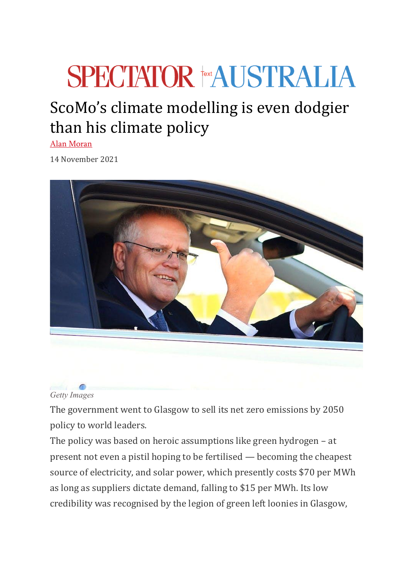## **SPECTATOR FEXALISTRALIA**

## ScoMo's climate modelling is even dodgier than his climate policy

[Alan Moran](https://www.spectator.com.au/author/alanmoran/)

14 November 2021





The government went to Glasgow to sell its net zero emissions by 2050 policy to world leaders.

The policy was based on heroic assumptions like green hydrogen – at present not even a pistil hoping to be fertilised — becoming the cheapest source of electricity, and solar power, which presently costs \$70 per MWh as long as suppliers dictate demand, falling to \$15 per MWh. Its low credibility was recognised by the legion of green left loonies in Glasgow,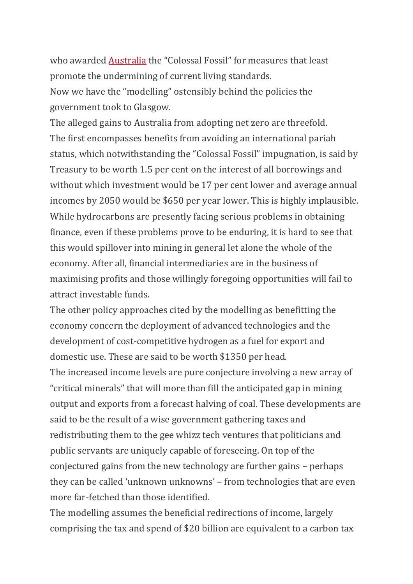who awarded **[Australia](https://climatenetwork.org/updates/press-releases/)** the "Colossal Fossil" for measures that least promote the undermining of current living standards. Now we have the "modelling" ostensibly behind the policies the government took to Glasgow.

The alleged gains to Australia from adopting net zero are threefold. The first encompasses benefits from avoiding an international pariah status, which notwithstanding the "Colossal Fossil" impugnation, is said by Treasury to be worth 1.5 per cent on the interest of all borrowings and without which investment would be 17 per cent lower and average annual incomes by 2050 would be \$650 per year lower. This is highly implausible. While hydrocarbons are presently facing serious problems in obtaining finance, even if these problems prove to be enduring, it is hard to see that this would spillover into mining in general let alone the whole of the economy. After all, financial intermediaries are in the business of maximising profits and those willingly foregoing opportunities will fail to attract investable funds.

The other policy approaches cited by the modelling as benefitting the economy concern the deployment of advanced technologies and the development of cost-competitive hydrogen as a fuel for export and domestic use. These are said to be worth \$1350 per head. The increased income levels are pure conjecture involving a new array of "critical minerals" that will more than fill the anticipated gap in mining output and exports from a forecast halving of coal. These developments are said to be the result of a wise government gathering taxes and redistributing them to the gee whizz tech ventures that politicians and public servants are uniquely capable of foreseeing. On top of the conjectured gains from the new technology are further gains – perhaps they can be called 'unknown unknowns' – from technologies that are even more far-fetched than those identified.

The modelling assumes the beneficial redirections of income, largely comprising the tax and spend of \$20 billion are equivalent to a carbon tax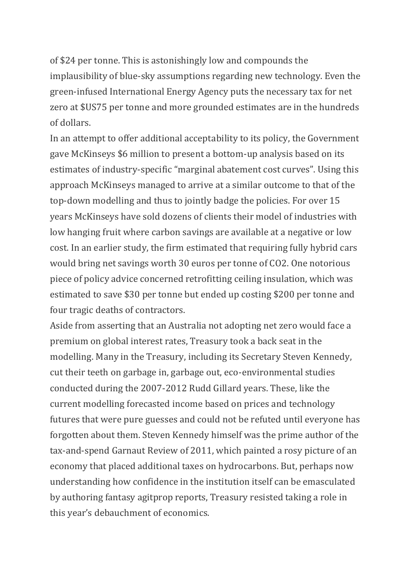of \$24 per tonne. This is astonishingly low and compounds the implausibility of blue-sky assumptions regarding new technology. Even the green-infused International Energy Agency puts the necessary tax for net zero at \$US75 per tonne and more grounded estimates are in the hundreds of dollars.

In an attempt to offer additional acceptability to its policy, the Government gave McKinseys \$6 million to present a bottom-up analysis based on its estimates of industry-specific "marginal abatement cost curves". Using this approach McKinseys managed to arrive at a similar outcome to that of the top-down modelling and thus to jointly badge the policies. For over 15 years McKinseys have sold dozens of clients their model of industries with low hanging fruit where carbon savings are available at a negative or low cost. In an earlier study, the firm estimated that requiring fully hybrid cars would bring net savings worth 30 euros per tonne of CO2. One notorious piece of policy advice concerned retrofitting ceiling insulation, which was estimated to save \$30 per tonne but ended up costing \$200 per tonne and four tragic deaths of contractors.

Aside from asserting that an Australia not adopting net zero would face a premium on global interest rates, Treasury took a back seat in the modelling. Many in the Treasury, including its Secretary Steven Kennedy, cut their teeth on garbage in, garbage out, eco-environmental studies conducted during the 2007-2012 Rudd Gillard years. These, like the current modelling forecasted income based on prices and technology futures that were pure guesses and could not be refuted until everyone has forgotten about them. Steven Kennedy himself was the prime author of the tax-and-spend Garnaut Review of 2011, which painted a rosy picture of an economy that placed additional taxes on hydrocarbons. But, perhaps now understanding how confidence in the institution itself can be emasculated by authoring fantasy agitprop reports, Treasury resisted taking a role in this year's debauchment of economics.